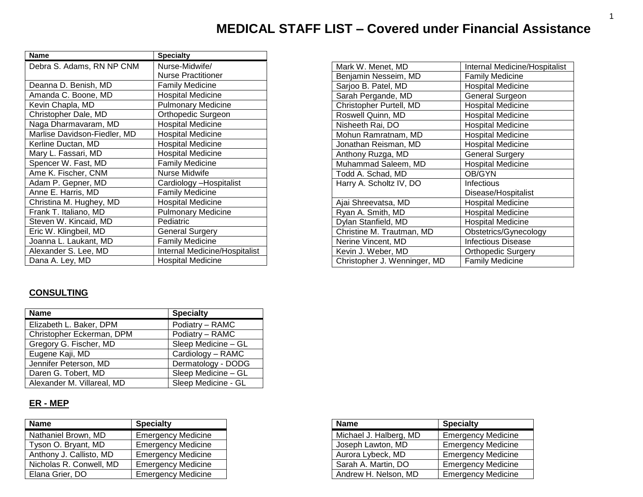# **MEDICAL STAFF LIST – Covered under Financial Assistance**

| <b>Name</b>                  | <b>Specialty</b>              |  |
|------------------------------|-------------------------------|--|
| Debra S. Adams, RN NP CNM    | Nurse-Midwife/                |  |
|                              | Nurse Practitioner            |  |
| Deanna D. Benish, MD         | <b>Family Medicine</b>        |  |
| Amanda C. Boone, MD          | <b>Hospital Medicine</b>      |  |
| Kevin Chapla, MD             | <b>Pulmonary Medicine</b>     |  |
| Christopher Dale, MD         | Orthopedic Surgeon            |  |
| Naga Dharmavaram, MD         | <b>Hospital Medicine</b>      |  |
| Marlise Davidson-Fiedler, MD | <b>Hospital Medicine</b>      |  |
| Kerline Ductan, MD           | <b>Hospital Medicine</b>      |  |
| Mary L. Fassari, MD          | <b>Hospital Medicine</b>      |  |
| Spencer W. Fast, MD          | <b>Family Medicine</b>        |  |
| Ame K. Fischer, CNM          | Nurse Midwife                 |  |
| Adam P. Gepner, MD           | Cardiology - Hospitalist      |  |
| Anne E. Harris, MD           | <b>Family Medicine</b>        |  |
| Christina M. Hughey, MD      | <b>Hospital Medicine</b>      |  |
| Frank T. Italiano, MD        | <b>Pulmonary Medicine</b>     |  |
| Steven W. Kincaid, MD        | Pediatric                     |  |
| Eric W. Klingbeil, MD        | General Surgery               |  |
| Joanna L. Laukant, MD        | <b>Family Medicine</b>        |  |
| Alexander S. Lee, MD         | Internal Medicine/Hospitalist |  |
| Dana A. Ley, MD              | <b>Hospital Medicine</b>      |  |

| Mark W. Menet, MD            | Internal Medicine/Hospitalist |  |
|------------------------------|-------------------------------|--|
| Benjamin Nesseim, MD         | <b>Family Medicine</b>        |  |
| Sarjoo B. Patel, MD          | <b>Hospital Medicine</b>      |  |
| Sarah Pergande, MD           | <b>General Surgeon</b>        |  |
| Christopher Purtell, MD      | <b>Hospital Medicine</b>      |  |
| Roswell Quinn, MD            | <b>Hospital Medicine</b>      |  |
| Nisheeth Rai, DO             | <b>Hospital Medicine</b>      |  |
| Mohun Ramratnam, MD          | <b>Hospital Medicine</b>      |  |
| Jonathan Reisman, MD         | <b>Hospital Medicine</b>      |  |
| Anthony Ruzga, MD            | <b>General Surgery</b>        |  |
| Muhammad Saleem, MD          | <b>Hospital Medicine</b>      |  |
| Todd A. Schad, MD            | OB/GYN                        |  |
| Harry A. Scholtz IV, DO      | Infectious                    |  |
|                              | Disease/Hospitalist           |  |
| Ajai Shreevatsa, MD          | <b>Hospital Medicine</b>      |  |
| Ryan A. Smith, MD            | <b>Hospital Medicine</b>      |  |
| Dylan Stanfield, MD          | <b>Hospital Medicine</b>      |  |
| Christine M. Trautman, MD    | Obstetrics/Gynecology         |  |
| Nerine Vincent, MD           | <b>Infectious Disease</b>     |  |
| Kevin J. Weber, MD           | <b>Orthopedic Surgery</b>     |  |
| Christopher J. Wenninger, MD | <b>Family Medicine</b>        |  |

## **CONSULTING**

| <b>Name</b>                | <b>Specialty</b>    |
|----------------------------|---------------------|
| Elizabeth L. Baker, DPM    | Podiatry - RAMC     |
| Christopher Eckerman, DPM  | Podiatry - RAMC     |
| Gregory G. Fischer, MD     | Sleep Medicine - GL |
| Eugene Kaji, MD            | Cardiology - RAMC   |
| Jennifer Peterson, MD      | Dermatology - DODG  |
| Daren G. Tobert, MD        | Sleep Medicine - GL |
| Alexander M. Villareal, MD | Sleep Medicine - GL |

### **ER - MEP**

| <b>Name</b>             | <b>Specialty</b>          |
|-------------------------|---------------------------|
| Nathaniel Brown, MD     | <b>Emergency Medicine</b> |
| Tyson O. Bryant, MD     | <b>Emergency Medicine</b> |
| Anthony J. Callisto, MD | <b>Emergency Medicine</b> |
| Nicholas R. Conwell, MD | <b>Emergency Medicine</b> |
| Elana Grier, DO         | <b>Emergency Medicine</b> |

| <b>Name</b>            | <b>Specialty</b>          |
|------------------------|---------------------------|
| Michael J. Halberg, MD | <b>Emergency Medicine</b> |
| Joseph Lawton, MD      | <b>Emergency Medicine</b> |
| Aurora Lybeck, MD      | <b>Emergency Medicine</b> |
| Sarah A. Martin, DO    | <b>Emergency Medicine</b> |
| Andrew H. Nelson, MD   | <b>Emergency Medicine</b> |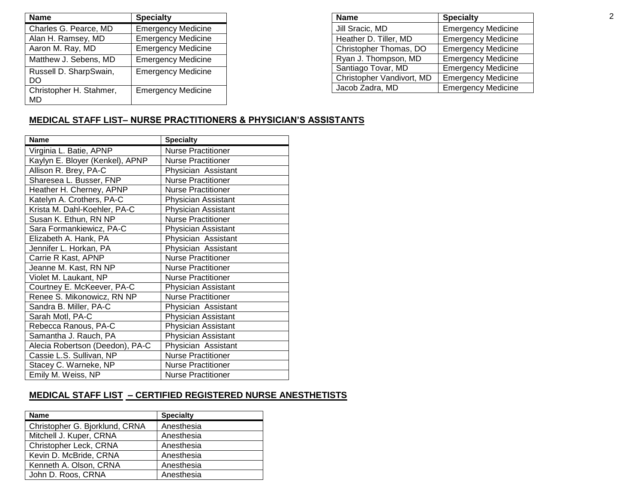| <b>Name</b>                   | <b>Specialty</b>          |
|-------------------------------|---------------------------|
| Charles G. Pearce, MD         | <b>Emergency Medicine</b> |
| Alan H. Ramsey, MD            | <b>Emergency Medicine</b> |
| Aaron M. Ray, MD              | <b>Emergency Medicine</b> |
| Matthew J. Sebens, MD         | <b>Emergency Medicine</b> |
| Russell D. SharpSwain,<br>DO  | <b>Emergency Medicine</b> |
| Christopher H. Stahmer,<br>MD | <b>Emergency Medicine</b> |

| <b>Specialty</b>          | <b>Name</b>               | <b>Specialty</b>                                                                 |
|---------------------------|---------------------------|----------------------------------------------------------------------------------|
| <b>Emergency Medicine</b> | Jill Sracic, MD           | <b>Emergency Medicine</b>                                                        |
| <b>Emergency Medicine</b> | Heather D. Tiller, MD     | <b>Emergency Medicine</b>                                                        |
| <b>Emergency Medicine</b> |                           | <b>Emergency Medicine</b>                                                        |
| <b>Emergency Medicine</b> | Ryan J. Thompson, MD      | <b>Emergency Medicine</b>                                                        |
|                           | Santiago Tovar, MD        | <b>Emergency Medicine</b>                                                        |
|                           |                           | <b>Emergency Medicine</b>                                                        |
|                           | Jacob Zadra, MD           | <b>Emergency Medicine</b>                                                        |
|                           | <b>Emergency Medicine</b> | Christopher Thomas, DO<br>Christopher Vandivort, MD<br><b>Emergency Medicine</b> |

## **MEDICAL STAFF LIST– NURSE PRACTITIONERS & PHYSICIAN'S ASSISTANTS**

| <b>Name</b>                     | <b>Specialty</b>           |
|---------------------------------|----------------------------|
| Virginia L. Batie, APNP         | <b>Nurse Practitioner</b>  |
| Kaylyn E. Bloyer (Kenkel), APNP | <b>Nurse Practitioner</b>  |
| Allison R. Brey, PA-C           | Physician Assistant        |
| Sharesea L. Busser, FNP         | <b>Nurse Practitioner</b>  |
| Heather H. Cherney, APNP        | <b>Nurse Practitioner</b>  |
| Katelyn A. Crothers, PA-C       | <b>Physician Assistant</b> |
| Krista M. Dahl-Koehler, PA-C    | Physician Assistant        |
| Susan K. Ethun, RN NP           | <b>Nurse Practitioner</b>  |
| Sara Formankiewicz, PA-C        | Physician Assistant        |
| Elizabeth A. Hank, PA           | Physician Assistant        |
| Jennifer L. Horkan, PA          | Physician Assistant        |
| Carrie R Kast, APNP             | <b>Nurse Practitioner</b>  |
| Jeanne M. Kast, RN NP           | <b>Nurse Practitioner</b>  |
| Violet M. Laukant, NP           | <b>Nurse Practitioner</b>  |
| Courtney E. McKeever, PA-C      | Physician Assistant        |
| Renee S. Mikonowicz, RN NP      | <b>Nurse Practitioner</b>  |
| Sandra B. Miller, PA-C          | Physician Assistant        |
| Sarah Motl, PA-C                | <b>Physician Assistant</b> |
| Rebecca Ranous, PA-C            | Physician Assistant        |
| Samantha J. Rauch, PA           | Physician Assistant        |
| Alecia Robertson (Deedon), PA-C | Physician Assistant        |
| Cassie L.S. Sullivan, NP        | <b>Nurse Practitioner</b>  |
| Stacey C. Warneke, NP           | Nurse Practitioner         |
| Emily M. Weiss, NP              | <b>Nurse Practitioner</b>  |

#### **MEDICAL STAFF LIST – CERTIFIED REGISTERED NURSE ANESTHETISTS**

| <b>Name</b>                    | <b>Specialty</b> |
|--------------------------------|------------------|
| Christopher G. Bjorklund, CRNA | Anesthesia       |
| Mitchell J. Kuper, CRNA        | Anesthesia       |
| Christopher Leck, CRNA         | Anesthesia       |
| Kevin D. McBride, CRNA         | Anesthesia       |
| Kenneth A. Olson, CRNA         | Anesthesia       |
| John D. Roos, CRNA             | Anesthesia       |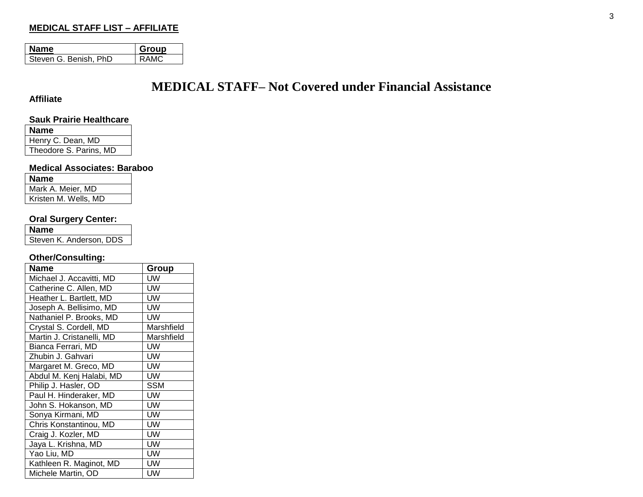#### **MEDICAL STAFF LIST – AFFILIATE**

| <b>Name</b>           | Group |
|-----------------------|-------|
| Steven G. Benish, PhD | RAMC  |

## **MEDICAL STAFF– Not Covered under Financial Assistance**

#### **Affiliate**

#### **Sauk Prairie Healthcare**

| <b>Name</b>            |
|------------------------|
| Henry C. Dean, MD      |
| Theodore S. Parins, MD |
|                        |

#### **Medical Associates: Baraboo**

| <b>Name</b>          |
|----------------------|
| Mark A. Meier, MD    |
| Kristen M. Wells. MD |

### **Oral Surgery Center:**

| Name                    |
|-------------------------|
| Steven K. Anderson, DDS |

#### **Other/Consulting:**

| Name                      | Group      |
|---------------------------|------------|
| Michael J. Accavitti, MD  | UW         |
| Catherine C. Allen, MD    | UW         |
| Heather L. Bartlett, MD   | UW         |
| Joseph A. Bellisimo, MD   | UW         |
| Nathaniel P. Brooks, MD   | UW         |
| Crystal S. Cordell, MD    | Marshfield |
| Martin J. Cristanelli, MD | Marshfield |
| Bianca Ferrari, MD        | UW         |
| Zhubin J. Gahvari         | UW         |
| Margaret M. Greco, MD     | UW         |
| Abdul M. Kenj Halabi, MD  | UW         |
| Philip J. Hasler, OD      | SSM        |
| Paul H. Hinderaker, MD    | UW         |
| John S. Hokanson, MD      | UW         |
| Sonya Kirmani, MD         | UW         |
| Chris Konstantinou, MD    | UW         |
| Craig J. Kozler, MD       | UW         |
| Jaya L. Krishna, MD       | UW         |
| Yao Liu, MD               | UW         |
| Kathleen R. Maginot, MD   | UW         |
| Michele Martin, OD        | UW         |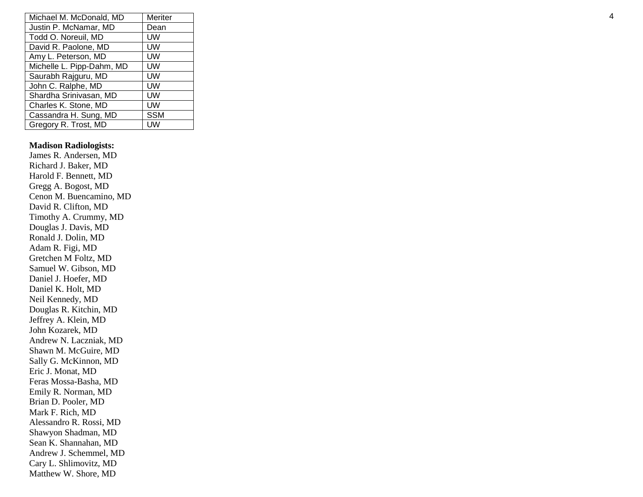| Michael M. McDonald, MD   | Meriter    |
|---------------------------|------------|
| Justin P. McNamar, MD     | Dean       |
| Todd O. Noreuil, MD       | UW         |
| David R. Paolone, MD      | UW         |
| Amy L. Peterson, MD       | UW         |
| Michelle L. Pipp-Dahm, MD | UW         |
| Saurabh Rajguru, MD       | UW         |
| John C. Ralphe, MD        | UW         |
| Shardha Srinivasan, MD    | UW         |
| Charles K. Stone, MD      | UW         |
| Cassandra H. Sung, MD     | <b>SSM</b> |
| Gregory R. Trost, MD      | UW         |

#### **Madison Radiologists:**

James R. Andersen, MD Richard J. Baker, MD Harold F. Bennett, MD Gregg A. Bogost, MD Cenon M. Buencamino, MD David R. Clifton, MD Timothy A. Crummy, MD Douglas J. Davis, MD Ronald J. Dolin, MD Adam R. Figi, MD Gretchen M Foltz, MD Samuel W. Gibson, MD Daniel J. Hoefer, MD Daniel K. Holt, MD Neil Kennedy, MD Douglas R. Kitchin, MD Jeffrey A. Klein, MD John Kozarek, MD Andrew N. Laczniak, MD Shawn M. McGuire, MD Sally G. McKinnon, MD Eric J. Monat, MD Feras Mossa -Basha, MD Emily R. Norman, MD Brian D. Pooler, MD Mark F. Rich, MD Alessandro R. Rossi, MD Shawyon Shadman, MD Sean K. Shannahan, MD Andrew J. Schemmel, MD Cary L. Shlimovitz, MD Matthew W. Shore, MD